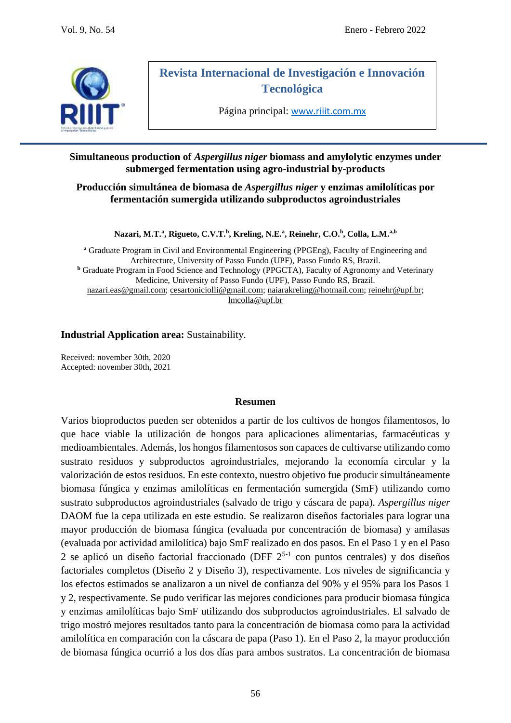

# **Revista Internacional de Investigación e Innovación Tecnológica**

Página principal: [www.riiit.com.mx](http://www.riiit.com.mx/)

### **Simultaneous production of** *Aspergillus niger* **biomass and amylolytic enzymes under submerged fermentation using agro-industrial by-products**

### **Producción simultánea de biomasa de** *Aspergillus niger* **y enzimas amilolíticas por fermentación sumergida utilizando subproductos agroindustriales**

#### **Nazari, M.T.<sup>a</sup> , Rigueto, C.V.T.<sup>b</sup> , Kreling, N.E.<sup>a</sup> , Reinehr, C.O.<sup>b</sup> , Colla, L.M. a,b**

**<sup>a</sup>** Graduate Program in Civil and Environmental Engineering (PPGEng), Faculty of Engineering and Architecture, University of Passo Fundo (UPF), Passo Fundo RS, Brazil. **<sup>b</sup>** Graduate Program in Food Science and Technology (PPGCTA), Faculty of Agronomy and Veterinary Medicine, University of Passo Fundo (UPF), Passo Fundo RS, Brazil. [nazari.eas@gmail.com;](mailto:nazari.eas@gmail.com) [cesartoniciolli@gmail.com;](mailto:cesartoniciolli@gmail.com) [naiarakreling@hotmail.com;](mailto:naiarakreling@hotmail.com) [reinehr@upf.br;](mailto:reinehr@upf.br) [lmcolla@upf.br](mailto:lmcolla@upf.br)

### **Industrial Application area:** Sustainability.

Received: november 30th, 2020 Accepted: november 30th, 2021

#### **Resumen**

Varios bioproductos pueden ser obtenidos a partir de los cultivos de hongos filamentosos, lo que hace viable la utilización de hongos para aplicaciones alimentarias, farmacéuticas y medioambientales. Además, los hongos filamentosos son capaces de cultivarse utilizando como sustrato residuos y subproductos agroindustriales, mejorando la economía circular y la valorización de estos residuos. En este contexto, nuestro objetivo fue producir simultáneamente biomasa fúngica y enzimas amilolíticas en fermentación sumergida (SmF) utilizando como sustrato subproductos agroindustriales (salvado de trigo y cáscara de papa). *Aspergillus niger* DAOM fue la cepa utilizada en este estudio. Se realizaron diseños factoriales para lograr una mayor producción de biomasa fúngica (evaluada por concentración de biomasa) y amilasas (evaluada por actividad amilolítica) bajo SmF realizado en dos pasos. En el Paso 1 y en el Paso 2 se aplicó un diseño factorial fraccionado (DFF  $2^{5-1}$  con puntos centrales) y dos diseños factoriales completos (Diseño 2 y Diseño 3), respectivamente. Los niveles de significancia y los efectos estimados se analizaron a un nivel de confianza del 90% y el 95% para los Pasos 1 y 2, respectivamente. Se pudo verificar las mejores condiciones para producir biomasa fúngica y enzimas amilolíticas bajo SmF utilizando dos subproductos agroindustriales. El salvado de trigo mostró mejores resultados tanto para la concentración de biomasa como para la actividad amilolítica en comparación con la cáscara de papa (Paso 1). En el Paso 2, la mayor producción de biomasa fúngica ocurrió a los dos días para ambos sustratos. La concentración de biomasa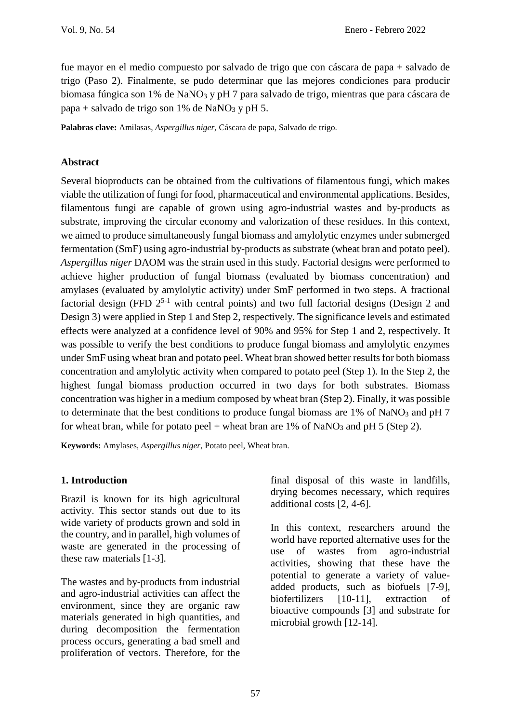fue mayor en el medio compuesto por salvado de trigo que con cáscara de papa + salvado de trigo (Paso 2). Finalmente, se pudo determinar que las mejores condiciones para producir biomasa fúngica son 1% de NaNO<sup>3</sup> y pH 7 para salvado de trigo, mientras que para cáscara de papa + salvado de trigo son 1% de NaNO<sub>3</sub> y pH 5.

**Palabras clave:** Amilasas, *Aspergillus niger,* Cáscara de papa, Salvado de trigo.

## **Abstract**

Several bioproducts can be obtained from the cultivations of filamentous fungi, which makes viable the utilization of fungi for food, pharmaceutical and environmental applications. Besides, filamentous fungi are capable of grown using agro-industrial wastes and by-products as substrate, improving the circular economy and valorization of these residues. In this context, we aimed to produce simultaneously fungal biomass and amylolytic enzymes under submerged fermentation (SmF) using agro-industrial by-products as substrate (wheat bran and potato peel). *Aspergillus niger* DAOM was the strain used in this study. Factorial designs were performed to achieve higher production of fungal biomass (evaluated by biomass concentration) and amylases (evaluated by amylolytic activity) under SmF performed in two steps. A fractional factorial design (FFD  $2^{5-1}$  with central points) and two full factorial designs (Design 2 and Design 3) were applied in Step 1 and Step 2, respectively. The significance levels and estimated effects were analyzed at a confidence level of 90% and 95% for Step 1 and 2, respectively. It was possible to verify the best conditions to produce fungal biomass and amylolytic enzymes under SmF using wheat bran and potato peel. Wheat bran showed better results for both biomass concentration and amylolytic activity when compared to potato peel (Step 1). In the Step 2, the highest fungal biomass production occurred in two days for both substrates. Biomass concentration was higher in a medium composed by wheat bran (Step 2). Finally, it was possible to determinate that the best conditions to produce fungal biomass are 1% of NaNO<sub>3</sub> and pH 7 for wheat bran, while for potato peel + wheat bran are  $1\%$  of NaNO<sub>3</sub> and pH 5 (Step 2).

**Keywords:** Amylases, *Aspergillus niger*, Potato peel, Wheat bran.

# **1. Introduction**

Brazil is known for its high agricultural activity. This sector stands out due to its wide variety of products grown and sold in the country, and in parallel, high volumes of waste are generated in the processing of these raw materials [1-3].

The wastes and by-products from industrial and agro-industrial activities can affect the environment, since they are organic raw materials generated in high quantities, and during decomposition the fermentation process occurs, generating a bad smell and proliferation of vectors. Therefore, for the

final disposal of this waste in landfills, drying becomes necessary, which requires additional costs [2, 4-6].

In this context, researchers around the world have reported alternative uses for the use of wastes from agro-industrial activities, showing that these have the potential to generate a variety of valueadded products, such as biofuels [7-9], biofertilizers [10-11], extraction of bioactive compounds [3] and substrate for microbial growth [12-14].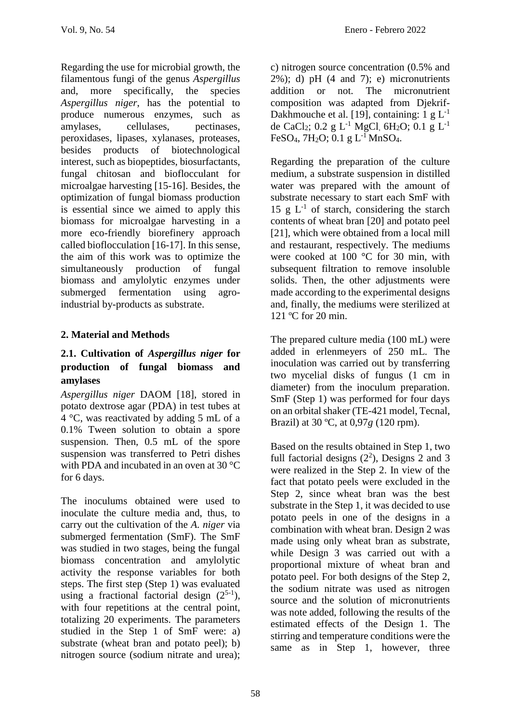Regarding the use for microbial growth, the filamentous fungi of the genus *Aspergillus* and, more specifically, the species *Aspergillus niger*, has the potential to produce numerous enzymes, such as amylases, cellulases, pectinases, peroxidases, lipases, xylanases, proteases, besides products of biotechnological interest, such as biopeptides, biosurfactants, fungal chitosan and bioflocculant for microalgae harvesting [15-16]. Besides, the optimization of fungal biomass production is essential since we aimed to apply this biomass for microalgae harvesting in a more eco-friendly biorefinery approach called bioflocculation [16-17]. In this sense, the aim of this work was to optimize the simultaneously production of fungal biomass and amylolytic enzymes under submerged fermentation using agroindustrial by-products as substrate.

# **2. Material and Methods**

# **2.1. Cultivation of** *Aspergillus niger* **for production of fungal biomass and amylases**

*Aspergillus niger* DAOM [18], stored in potato dextrose agar (PDA) in test tubes at 4 °C, was reactivated by adding 5 mL of a 0.1% Tween solution to obtain a spore suspension. Then, 0.5 mL of the spore suspension was transferred to Petri dishes with PDA and incubated in an oven at 30 °C for 6 days.

The inoculums obtained were used to inoculate the culture media and, thus, to carry out the cultivation of the *A. niger* via submerged fermentation (SmF). The SmF was studied in two stages, being the fungal biomass concentration and amylolytic activity the response variables for both steps. The first step (Step 1) was evaluated using a fractional factorial design  $(2^{5-1})$ , with four repetitions at the central point, totalizing 20 experiments. The parameters studied in the Step 1 of SmF were: a) substrate (wheat bran and potato peel); b) nitrogen source (sodium nitrate and urea);

c) nitrogen source concentration (0.5% and  $2\%$ ; d) pH  $(4 \text{ and } 7)$ ; e) micronutrients addition or not. The micronutrient composition was adapted from Djekrif-Dakhmouche et al. [19], containing: 1 g  $L^{-1}$ de CaCl<sub>2</sub>; 0.2 g L<sup>-1</sup> MgCl, 6H<sub>2</sub>O; 0.1 g L<sup>-1</sup> FeSO<sub>4</sub>, 7H<sub>2</sub>O; 0.1 g L<sup>-1</sup> MnSO<sub>4</sub>.

Regarding the preparation of the culture medium, a substrate suspension in distilled water was prepared with the amount of substrate necessary to start each SmF with 15 g  $L^{-1}$  of starch, considering the starch contents of wheat bran [20] and potato peel [21], which were obtained from a local mill and restaurant, respectively. The mediums were cooked at 100 °C for 30 min, with subsequent filtration to remove insoluble solids. Then, the other adjustments were made according to the experimental designs and, finally, the mediums were sterilized at 121 °C for 20 min.

The prepared culture media (100 mL) were added in erlenmeyers of 250 mL. The inoculation was carried out by transferring two mycelial disks of fungus (1 cm in diameter) from the inoculum preparation. SmF (Step 1) was performed for four days on an orbital shaker (TE-421 model, Tecnal, Brazil) at 30 ºC, at 0,97*g* (120 rpm).

Based on the results obtained in Step 1, two full factorial designs  $(2^2)$ , Designs 2 and 3 were realized in the Step 2. In view of the fact that potato peels were excluded in the Step 2, since wheat bran was the best substrate in the Step 1, it was decided to use potato peels in one of the designs in a combination with wheat bran. Design 2 was made using only wheat bran as substrate, while Design 3 was carried out with a proportional mixture of wheat bran and potato peel. For both designs of the Step 2, the sodium nitrate was used as nitrogen source and the solution of micronutrients was note added, following the results of the estimated effects of the Design 1. The stirring and temperature conditions were the same as in Step 1, however, three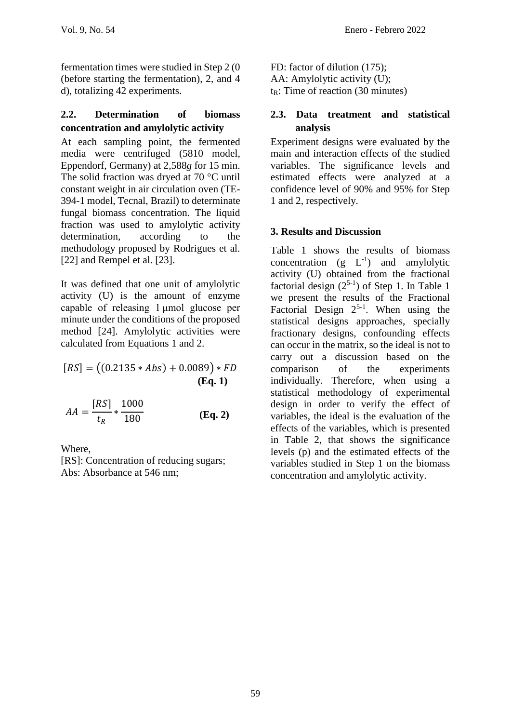fermentation times were studied in Step 2 (0 (before starting the fermentation), 2, and 4 d), totalizing 42 experiments.

### **2.2. Determination of biomass concentration and amylolytic activity**

At each sampling point, the fermented media were centrifuged (5810 model, Eppendorf, Germany) at 2,588*g* for 15 min. The solid fraction was dryed at 70 °C until constant weight in air circulation oven (TE-394-1 model, Tecnal, Brazil) to determinate fungal biomass concentration. The liquid fraction was used to amylolytic activity determination, according to the methodology proposed by Rodrigues et al. [22] and Rempel et al. [23].

It was defined that one unit of amylolytic activity (U) is the amount of enzyme capable of releasing 1 μmol glucose per minute under the conditions of the proposed method [24]. Amylolytic activities were calculated from Equations 1 and 2.

$$
[RS] = ((0.2135 * Abs) + 0.0089) * FD
$$
  
(Eq. 1)

$$
AA = \frac{[RS]}{t_R} * \frac{1000}{180}
$$
 (Eq. 2)

Where,

[RS]: Concentration of reducing sugars; Abs: Absorbance at 546 nm;

FD: factor of dilution (175); AA: Amylolytic activity (U);  $tr: Time of reaction (30 minutes)$ 

### **2.3. Data treatment and statistical analysis**

Experiment designs were evaluated by the main and interaction effects of the studied variables. The significance levels and estimated effects were analyzed at a confidence level of 90% and 95% for Step 1 and 2, respectively.

# **3. Results and Discussion**

Table 1 shows the results of biomass concentration  $(g L^{-1})$  and amylolytic activity (U) obtained from the fractional factorial design  $(2^{5-1})$  of Step 1. In Table 1 we present the results of the Fractional Factorial Design  $2^{5-1}$ . When using the statistical designs approaches, specially fractionary designs, confounding effects can occur in the matrix, so the ideal is not to carry out a discussion based on the comparison of the experiments individually. Therefore, when using a statistical methodology of experimental design in order to verify the effect of variables, the ideal is the evaluation of the effects of the variables, which is presented in Table 2, that shows the significance levels (p) and the estimated effects of the variables studied in Step 1 on the biomass concentration and amylolytic activity.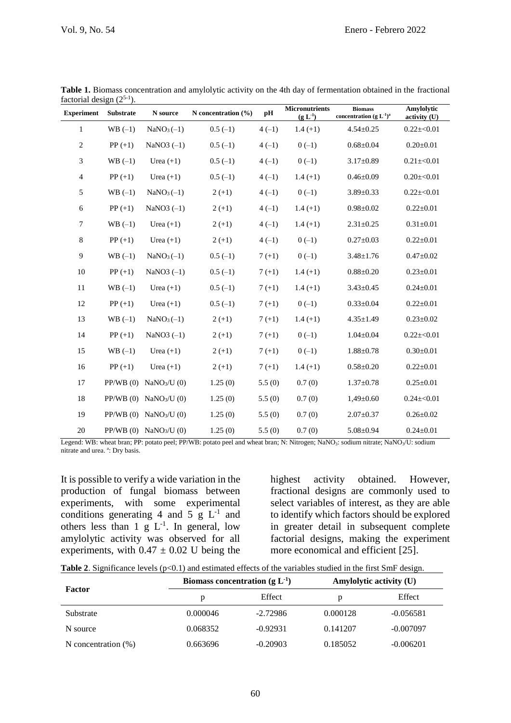| <b>Experiment</b> | <b>Substrate</b> | N source                           | N concentration $(\% )$ | pH       | <b>Micronutrients</b><br>$(g L^{-1})$ | <b>Biomass</b><br>concentration (g $L^{-1}$ ) <sup>a</sup> | Amylolytic<br>activity (U) |
|-------------------|------------------|------------------------------------|-------------------------|----------|---------------------------------------|------------------------------------------------------------|----------------------------|
| 1                 | $WB(-1)$         | $NaNO3(-1)$                        | $0.5(-1)$               | $4(-1)$  | $1.4(+1)$                             | $4.54 \pm 0.25$                                            | $0.22 \pm 0.01$            |
| $\overline{c}$    | $PP (+1)$        | NaNO3 $(-1)$                       | $0.5(-1)$               | $4(-1)$  | $0(-1)$                               | $0.68 \pm 0.04$                                            | $0.20 \pm 0.01$            |
| 3                 | $WB(-1)$         | Urea $(+1)$                        | $0.5(-1)$               | $4(-1)$  | $0(-1)$                               | $3.17 \pm 0.89$                                            | $0.21 \pm 0.01$            |
| $\overline{4}$    | $PP (+1)$        | Urea $(+1)$                        | $0.5(-1)$               | $4(-1)$  | $1.4(+1)$                             | $0.46 \pm 0.09$                                            | $0.20 \pm 0.01$            |
| 5                 | $WB(-1)$         | $NaNO3(-1)$                        | $2 (+1)$                | $4(-1)$  | $0(-1)$                               | $3.89 \pm 0.33$                                            | $0.22 \pm 0.01$            |
| $\epsilon$        | $PP (+1)$        | NaNO $3$ (-1)                      | $2 (+1)$                | $4(-1)$  | $1.4(+1)$                             | $0.98 \pm 0.02$                                            | $0.22 \pm 0.01$            |
| $\tau$            | $WB(-1)$         | Urea $(+1)$                        | $2 (+1)$                | $4(-1)$  | $1.4(+1)$                             | $2.31 \pm 0.25$                                            | $0.31 \pm 0.01$            |
| $\,8\,$           | $PP (+1)$        | Urea $(+1)$                        | $2(+1)$                 | $4(-1)$  | $0(-1)$                               | $0.27 \pm 0.03$                                            | $0.22 \pm 0.01$            |
| 9                 | $WB(-1)$         | $NaNO3(-1)$                        | $0.5(-1)$               | $7(+1)$  | $0(-1)$                               | $3.48 \pm 1.76$                                            | $0.47 \pm 0.02$            |
| $10\,$            | $PP (+1)$        | NaNO3 $(-1)$                       | $0.5(-1)$               | $7 (+1)$ | $1.4(+1)$                             | $0.88 \pm 0.20$                                            | $0.23 \pm 0.01$            |
| 11                | $WB(-1)$         | Urea $(+1)$                        | $0.5(-1)$               | $7(+1)$  | $1.4(+1)$                             | $3.43 \pm 0.45$                                            | $0.24 \pm 0.01$            |
| 12                | $PP (+1)$        | Urea $(+1)$                        | $0.5(-1)$               | $7(+1)$  | $0(-1)$                               | $0.33 \pm 0.04$                                            | $0.22 \pm 0.01$            |
| 13                | $WB(-1)$         | $NaNO3(-1)$                        | $2 (+1)$                | $7(+1)$  | $1.4(+1)$                             | $4.35 \pm 1.49$                                            | $0.23 \pm 0.02$            |
| 14                | $PP (+1)$        | NaNO $3$ (-1)                      | $2 (+1)$                | $7 (+1)$ | $0(-1)$                               | $1.04 \pm 0.04$                                            | $0.22 \pm 0.01$            |
| 15                | $WB(-1)$         | Urea $(+1)$                        | $2 (+1)$                | $7(+1)$  | $0(-1)$                               | $1.88 \pm 0.78$                                            | $0.30 \pm 0.01$            |
| 16                | $PP (+1)$        | Urea $(+1)$                        | $2 (+1)$                | $7(+1)$  | $1.4(+1)$                             | $0.58 \pm 0.20$                                            | $0.22 \pm 0.01$            |
| 17                |                  | PP/WB (0) NaNO <sub>3</sub> /U (0) | 1.25(0)                 | 5.5(0)   | 0.7(0)                                | $1.37 \pm 0.78$                                            | $0.25 \pm 0.01$            |
| 18                |                  | PP/WB (0) NaNO <sub>3</sub> /U (0) | 1.25(0)                 | 5.5(0)   | 0.7(0)                                | $1,49\pm0.60$                                              | $0.24 \pm 0.01$            |
| 19                |                  | PP/WB (0) NaNO <sub>3</sub> /U (0) | 1.25(0)                 | 5.5(0)   | 0.7(0)                                | $2.07 \pm 0.37$                                            | $0.26 \pm 0.02$            |
| 20                |                  | PP/WB (0) NaNO <sub>3</sub> /U (0) | 1.25(0)                 | 5.5(0)   | 0.7(0)                                | $5.08 \pm 0.94$                                            | $0.24 \pm 0.01$            |

**Table 1.** Biomass concentration and amylolytic activity on the 4th day of fermentation obtained in the fractional factorial design  $(2^{5-1})$ .

Legend: WB: wheat bran; PP: potato peel; PP/WB: potato peel and wheat bran; N: Nitrogen; NaNO<sub>3</sub>: sodium nitrate; NaNO<sub>3</sub>/U: sodium nitrate and urea. a: Dry basis.

It is possible to verify a wide variation in the production of fungal biomass between experiments, with some experimental conditions generating 4 and 5  $g$  L<sup>-1</sup> and others less than 1  $g L^{-1}$ . In general, low amylolytic activity was observed for all experiments, with  $0.47 \pm 0.02$  U being the

highest activity obtained. However, fractional designs are commonly used to select variables of interest, as they are able to identify which factors should be explored in greater detail in subsequent complete factorial designs, making the experiment more economical and efficient [25].

|  |  | <b>Table 2.</b> Significance levels $(p<0.1)$ and estimated effects of the variables studied in the first SmF design. |
|--|--|-----------------------------------------------------------------------------------------------------------------------|
|--|--|-----------------------------------------------------------------------------------------------------------------------|

|                        | Biomass concentration $(g L1)$ |            |          | Amylolytic activity (U) |  |
|------------------------|--------------------------------|------------|----------|-------------------------|--|
| Factor                 | p                              | Effect     | p        | Effect                  |  |
| Substrate              | 0.000046                       | $-2.72986$ | 0.000128 | $-0.056581$             |  |
| N source               | 0.068352                       | $-0.92931$ | 0.141207 | $-0.007097$             |  |
| N concentration $(\%)$ | 0.663696                       | $-0.20903$ | 0.185052 | $-0.006201$             |  |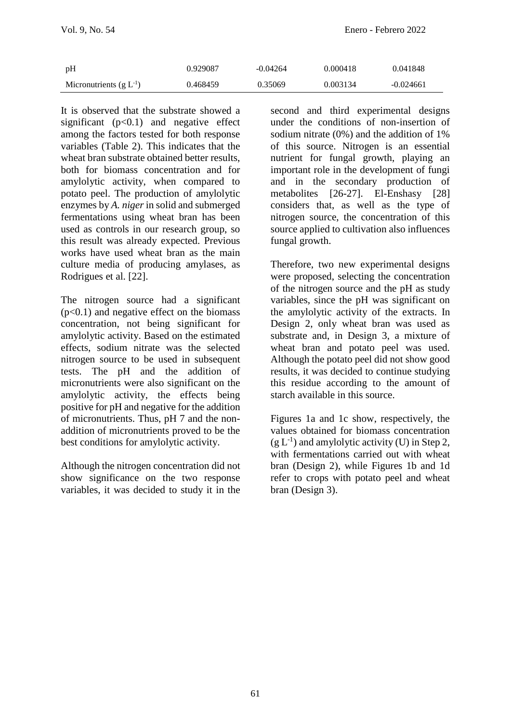| pH                          | 0.929087 | $-0.04264$ | 0.000418 | 0.041848    |
|-----------------------------|----------|------------|----------|-------------|
| Micronutrients $(g L^{-1})$ | 0.468459 | 0.35069    | 0.003134 | $-0.024661$ |

It is observed that the substrate showed a significant  $(p<0.1)$  and negative effect among the factors tested for both response variables (Table 2). This indicates that the wheat bran substrate obtained better results, both for biomass concentration and for amylolytic activity, when compared to potato peel. The production of amylolytic enzymes by *A. niger* in solid and submerged fermentations using wheat bran has been used as controls in our research group, so this result was already expected. Previous works have used wheat bran as the main culture media of producing amylases, as Rodrigues et al. [22].

The nitrogen source had a significant  $(p<0.1)$  and negative effect on the biomass concentration, not being significant for amylolytic activity. Based on the estimated effects, sodium nitrate was the selected nitrogen source to be used in subsequent tests. The pH and the addition of micronutrients were also significant on the amylolytic activity, the effects being positive for pH and negative for the addition of micronutrients. Thus, pH 7 and the nonaddition of micronutrients proved to be the best conditions for amylolytic activity.

Although the nitrogen concentration did not show significance on the two response variables, it was decided to study it in the second and third experimental designs under the conditions of non-insertion of sodium nitrate (0%) and the addition of 1% of this source. Nitrogen is an essential nutrient for fungal growth, playing an important role in the development of fungi and in the secondary production of metabolites [26-27]. El-Enshasy [28] considers that, as well as the type of nitrogen source, the concentration of this source applied to cultivation also influences fungal growth.

Therefore, two new experimental designs were proposed, selecting the concentration of the nitrogen source and the pH as study variables, since the pH was significant on the amylolytic activity of the extracts. In Design 2, only wheat bran was used as substrate and, in Design 3, a mixture of wheat bran and potato peel was used. Although the potato peel did not show good results, it was decided to continue studying this residue according to the amount of starch available in this source.

Figures 1a and 1c show, respectively, the values obtained for biomass concentration  $(g L<sup>-1</sup>)$  and amylolytic activity (U) in Step 2, with fermentations carried out with wheat bran (Design 2), while Figures 1b and 1d refer to crops with potato peel and wheat bran (Design 3).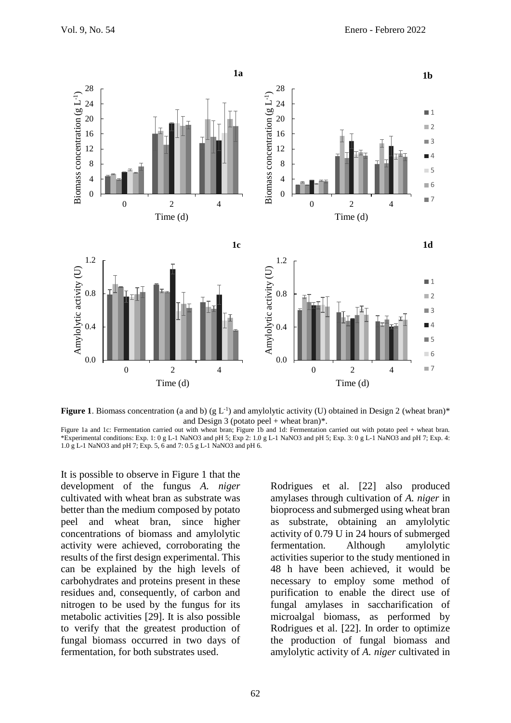

**Figure 1**. Biomass concentration (a and b) ( $g L^{-1}$ ) and amylolytic activity (U) obtained in Design 2 (wheat bran)\* and Design 3 (potato peel + wheat bran)\*.

Figure 1a and 1c: Fermentation carried out with wheat bran; Figure 1b and 1d: Fermentation carried out with potato peel + wheat bran. \*Experimental conditions: Exp. 1: 0 g L-1 NaNO3 and pH 5; Exp 2: 1.0 g L-1 NaNO3 and pH 5; Exp. 3: 0 g L-1 NaNO3 and pH 7; Exp. 4: 1.0 g L-1 NaNO3 and pH 7; Exp. 5, 6 and 7: 0.5 g L-1 NaNO3 and pH 6.

It is possible to observe in Figure 1 that the development of the fungus *A. niger* cultivated with wheat bran as substrate was better than the medium composed by potato peel and wheat bran, since higher concentrations of biomass and amylolytic activity were achieved, corroborating the results of the first design experimental. This can be explained by the high levels of carbohydrates and proteins present in these residues and, consequently, of carbon and nitrogen to be used by the fungus for its metabolic activities [29]. It is also possible to verify that the greatest production of fungal biomass occurred in two days of fermentation, for both substrates used.

Rodrigues et al. [22] also produced amylases through cultivation of *A. niger* in bioprocess and submerged using wheat bran as substrate, obtaining an amylolytic activity of 0.79 U in 24 hours of submerged fermentation. Although amylolytic activities superior to the study mentioned in 48 h have been achieved, it would be necessary to employ some method of purification to enable the direct use of fungal amylases in saccharification of microalgal biomass, as performed by Rodrigues et al. [22]. In order to optimize the production of fungal biomass and amylolytic activity of *A. niger* cultivated in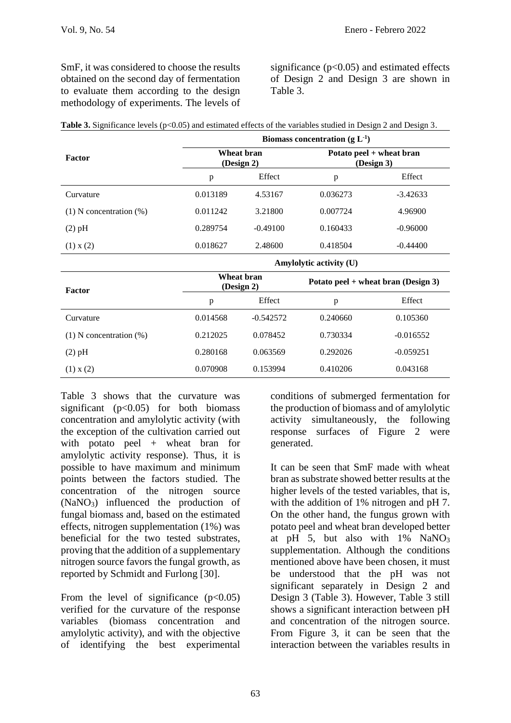SmF, it was considered to choose the results obtained on the second day of fermentation to evaluate them according to the design methodology of experiments. The levels of

significance  $(p<0.05)$  and estimated effects of Design 2 and Design 3 are shown in Table 3.

|                              | Biomass concentration $(g L^{-1})$ |                          |          |                                        |  |  |
|------------------------------|------------------------------------|--------------------------|----------|----------------------------------------|--|--|
| Factor                       |                                    | Wheat bran<br>(Design 2) |          | Potato peel + wheat bran<br>(Design 3) |  |  |
|                              | p                                  | Effect                   | p        | Effect                                 |  |  |
| Curvature                    | 0.013189<br>4.53167                |                          | 0.036273 | $-3.42633$                             |  |  |
| $(1)$ N concentration $(\%)$ | 0.011242                           | 3.21800                  | 0.007724 | 4.96900                                |  |  |
| $(2)$ pH                     | 0.289754                           | $-0.49100$               | 0.160433 | $-0.96000$                             |  |  |
| (1) x (2)                    | 0.018627                           | 2.48600                  | 0.418504 | $-0.44400$                             |  |  |
|                              | Amylolytic activity (U)            |                          |          |                                        |  |  |
| <b>Factor</b>                |                                    | Wheat bran<br>(Design 2) |          | Potato peel + wheat bran (Design 3)    |  |  |
|                              | p                                  | Effect                   | p        | Effect                                 |  |  |
| Curvature                    | 0.014568                           | $-0.542572$              |          | 0.105360                               |  |  |
| $(1)$ N concentration $(\%)$ | 0.212025                           | 0.078452                 | 0.730334 | $-0.016552$                            |  |  |

(2) pH 0.280168 0.063569 0.292026 -0.059251 (1) x (2) 0.070908 0.153994 0.410206 0.043168

Table 3 shows that the curvature was significant ( $p<0.05$ ) for both biomass concentration and amylolytic activity (with the exception of the cultivation carried out with potato peel + wheat bran for amylolytic activity response). Thus, it is possible to have maximum and minimum points between the factors studied. The concentration of the nitrogen source  $(NaNO<sub>3</sub>)$  influenced the production of fungal biomass and, based on the estimated effects, nitrogen supplementation (1%) was beneficial for the two tested substrates, proving that the addition of a supplementary nitrogen source favors the fungal growth, as reported by Schmidt and Furlong [30].

From the level of significance  $(p<0.05)$ verified for the curvature of the response variables (biomass concentration and amylolytic activity), and with the objective of identifying the best experimental conditions of submerged fermentation for the production of biomass and of amylolytic activity simultaneously, the following response surfaces of Figure 2 were generated.

It can be seen that SmF made with wheat bran as substrate showed better results at the higher levels of the tested variables, that is, with the addition of 1% nitrogen and pH 7. On the other hand, the fungus grown with potato peel and wheat bran developed better at pH 5, but also with  $1\%$  NaNO<sub>3</sub> supplementation. Although the conditions mentioned above have been chosen, it must be understood that the pH was not significant separately in Design 2 and Design 3 (Table 3). However, Table 3 still shows a significant interaction between pH and concentration of the nitrogen source. From Figure 3, it can be seen that the interaction between the variables results in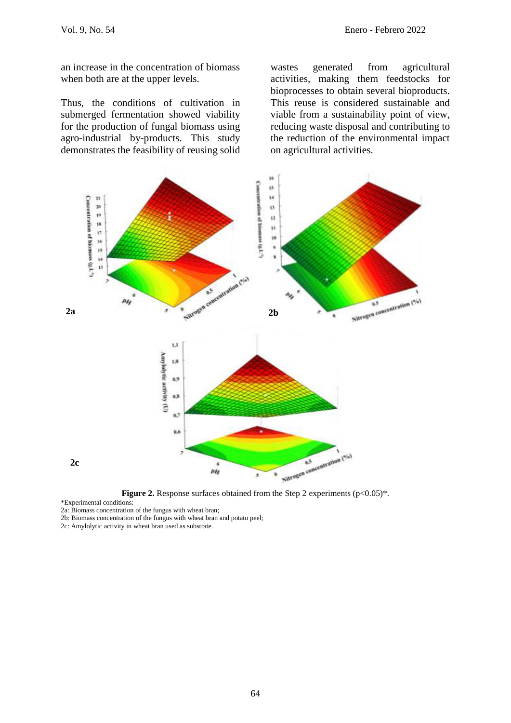an increase in the concentration of biomass when both are at the upper levels.

Thus, the conditions of cultivation in submerged fermentation showed viability for the production of fungal biomass using agro-industrial by-products. This study demonstrates the feasibility of reusing solid

wastes generated from agricultural activities, making them feedstocks for bioprocesses to obtain several bioproducts. This reuse is considered sustainable and viable from a sustainability point of view, reducing waste disposal and contributing to the reduction of the environmental impact on agricultural activities.



**Figure 2.** Response surfaces obtained from the Step 2 experiments  $(p<0.05)^*$ .

\*Experimental conditions:

2a: Biomass concentration of the fungus with wheat bran;

2b: Biomass concentration of the fungus with wheat bran and potato peel;

2c: Amylolytic activity in wheat bran used as substrate.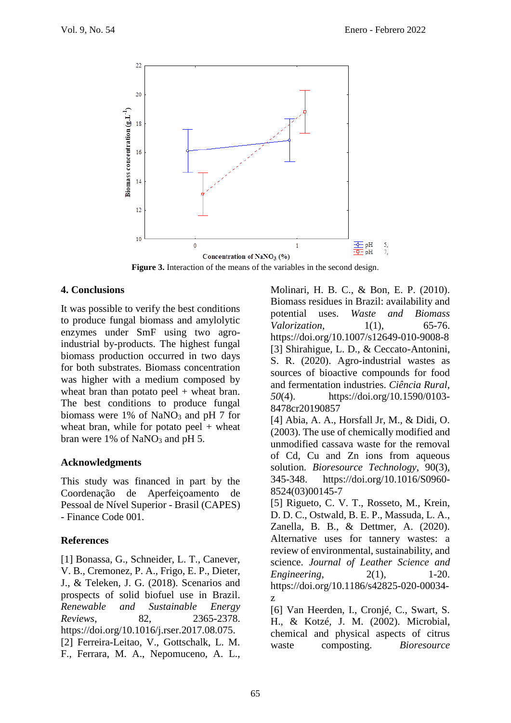

**Figure 3.** Interaction of the means of the variables in the second design.

### **4. Conclusions**

It was possible to verify the best conditions to produce fungal biomass and amylolytic enzymes under SmF using two agroindustrial by-products. The highest fungal biomass production occurred in two days for both substrates. Biomass concentration was higher with a medium composed by wheat bran than potato peel  $+$  wheat bran. The best conditions to produce fungal biomass were  $1\%$  of NaNO<sub>3</sub> and pH 7 for wheat bran, while for potato peel  $+$  wheat bran were 1% of NaNO<sub>3</sub> and pH 5.

### **Acknowledgments**

This study was financed in part by the Coordenação de Aperfeiçoamento de Pessoal de Nível Superior - Brasil (CAPES) - Finance Code 001.

### **References**

[1] Bonassa, G., Schneider, L. T., Canever, V. B., Cremonez, P. A., Frigo, E. P., Dieter, J., & Teleken, J. G. (2018). Scenarios and prospects of solid biofuel use in Brazil. *Renewable and Sustainable Energy Reviews*, 82, 2365-2378. https://doi.org/10.1016/j.rser.2017.08.075. [2] Ferreira-Leitao, V., Gottschalk, L. M. F., Ferrara, M. A., Nepomuceno, A. L.,

Molinari, H. B. C., & Bon, E. P. (2010). Biomass residues in Brazil: availability and potential uses. *Waste and Biomass Valorization*, 1(1), 65-76. https://doi.org/10.1007/s12649-010-9008-8 [3] Shirahigue, L. D., & Ceccato-Antonini, S. R. (2020). Agro-industrial wastes as sources of bioactive compounds for food and fermentation industries. *Ciência Rural*, *50*(4). https://doi.org/10.1590/0103- 8478cr20190857

[4] Abia, A. A., Horsfall Jr, M., & Didi, O. (2003). The use of chemically modified and unmodified cassava waste for the removal of Cd, Cu and Zn ions from aqueous solution. *Bioresource Technology*, 90(3), 345-348. https://doi.org/10.1016/S0960- 8524(03)00145-7

[5] Rigueto, C. V. T., Rosseto, M., Krein, D. D. C., Ostwald, B. E. P., Massuda, L. A., Zanella, B. B., & Dettmer, A. (2020). Alternative uses for tannery wastes: a review of environmental, sustainability, and science. *Journal of Leather Science and Engineering*, 2(1), 1-20. https://doi.org/10.1186/s42825-020-00034 z

[6] Van Heerden, I., Cronjé, C., Swart, S. H., & Kotzé, J. M. (2002). Microbial, chemical and physical aspects of citrus waste composting. *Bioresource*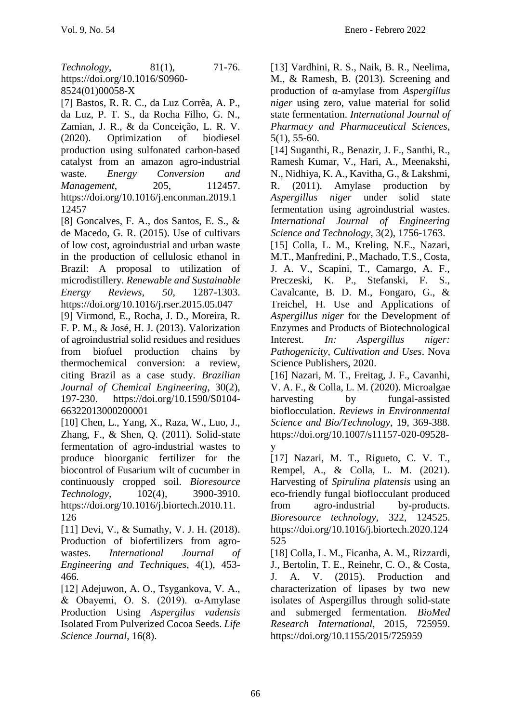*Technology*, 81(1), 71-76. https://doi.org/10.1016/S0960- 8524(01)00058-X

[7] Bastos, R. R. C., da Luz Corrêa, A. P., da Luz, P. T. S., da Rocha Filho, G. N., Zamian, J. R., & da Conceição, L. R. V. (2020). Optimization of biodiesel production using sulfonated carbon-based catalyst from an amazon agro-industrial waste. *Energy Conversion and Management*, 205, 112457. https://doi.org/10.1016/j.enconman.2019.1 12457

[8] Goncalves, F. A., dos Santos, E. S., & de Macedo, G. R. (2015). Use of cultivars of low cost, agroindustrial and urban waste in the production of cellulosic ethanol in Brazil: A proposal to utilization of microdistillery. *Renewable and Sustainable Energy Reviews*, *50*, 1287-1303. https://doi.org/10.1016/j.rser.2015.05.047

[9] Virmond, E., Rocha, J. D., Moreira, R. F. P. M., & José, H. J. (2013). Valorization of agroindustrial solid residues and residues from biofuel production chains by thermochemical conversion: a review, citing Brazil as a case study. *Brazilian Journal of Chemical Engineering*, 30(2), 197-230. https://doi.org/10.1590/S0104- 66322013000200001

[10] Chen, L., Yang, X., Raza, W., Luo, J., Zhang, F., & Shen, Q. (2011). Solid-state fermentation of agro-industrial wastes to produce bioorganic fertilizer for the biocontrol of Fusarium wilt of cucumber in continuously cropped soil. *Bioresource Technology*, 102(4), 3900-3910. https://doi.org/10.1016/j.biortech.2010.11. 126

[11] Devi, V., & Sumathy, V. J. H. (2018). Production of biofertilizers from agrowastes. *International Journal of Engineering and Techniques*, 4(1), 453- 466.

[12] Adejuwon, A. O., Tsygankova, V. A., & Obayemi, O. S.  $(2019)$ . α-Amylase Production Using *Aspergilus vadensis* Isolated From Pulverized Cocoa Seeds. *Life Science Journal*, 16(8).

[13] Vardhini, R. S., Naik, B. R., Neelima, M., & Ramesh, B. (2013). Screening and production of α-amylase from *Aspergillus niger* using zero, value material for solid state fermentation. *International Journal of Pharmacy and Pharmaceutical Sciences*, 5(1), 55-60.

[14] Suganthi, R., Benazir, J. F., Santhi, R., Ramesh Kumar, V., Hari, A., Meenakshi, N., Nidhiya, K. A., Kavitha, G., & Lakshmi, R. (2011). Amylase production by *Aspergillus niger* under solid state fermentation using agroindustrial wastes. *International Journal of Engineering Science and Technology*, 3(2), 1756-1763.

[15] Colla, L. M., Kreling, N.E., Nazari, M.T., Manfredini, P., Machado, T.S., Costa, J. A. V., Scapini, T., Camargo, A. F., Preczeski, K. P., Stefanski, F. S., Cavalcante, B. D. M., Fongaro, G., & Treichel, H. Use and Applications of *Aspergillus niger* for the Development of Enzymes and Products of Biotechnological Interest. *In: Aspergillus niger: Pathogenicity, Cultivation and Uses*. Nova Science Publishers, 2020.

[16] Nazari, M. T., Freitag, J. F., Cavanhi, V. A. F., & Colla, L. M. (2020). Microalgae harvesting by fungal-assisted bioflocculation. *Reviews in Environmental Science and Bio/Technology*, 19, 369-388. https://doi.org/10.1007/s11157-020-09528 y

[17] Nazari, M. T., Rigueto, C. V. T., Rempel, A., & Colla, L. M. (2021). Harvesting of *Spirulina platensis* using an eco-friendly fungal bioflocculant produced from agro-industrial by-products. *Bioresource technology*, 322, 124525. https://doi.org/10.1016/j.biortech.2020.124 525

[18] Colla, L. M., Ficanha, A. M., Rizzardi, J., Bertolin, T. E., Reinehr, C. O., & Costa, J. A. V. (2015). Production and characterization of lipases by two new isolates of Aspergillus through solid-state and submerged fermentation. *BioMed Research International*, 2015, 725959. https://doi.org/10.1155/2015/725959